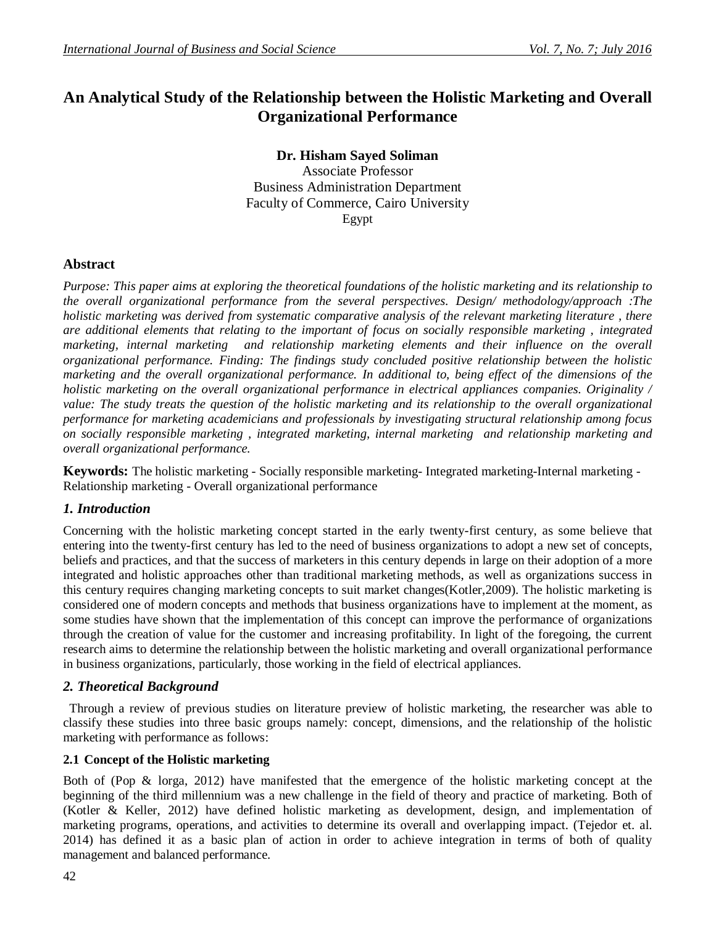## **An Analytical Study of the Relationship between the Holistic Marketing and Overall Organizational Performance**

## **Dr. Hisham Sayed Soliman**

Associate Professor Business Administration Department Faculty of Commerce, Cairo University Egypt

## **Abstract**

*Purpose: This paper aims at exploring the theoretical foundations of the holistic marketing and its relationship to the overall organizational performance from the several perspectives. Design/ methodology/approach :The holistic marketing was derived from systematic comparative analysis of the relevant marketing literature, there are additional elements that relating to the important of focus on socially responsible marketing , integrated marketing, internal marketing and relationship marketing elements and their influence on the overall organizational performance. Finding: The findings study concluded positive relationship between the holistic marketing and the overall organizational performance. In additional to, being effect of the dimensions of the holistic marketing on the overall organizational performance in electrical appliances companies. Originality / value: The study treats the question of the holistic marketing and its relationship to the overall organizational performance for marketing academicians and professionals by investigating structural relationship among focus on socially responsible marketing , integrated marketing, internal marketing and relationship marketing and overall organizational performance.*

**Keywords:** The holistic marketing - Socially responsible marketing- Integrated marketing-Internal marketing - Relationship marketing - Overall organizational performance

#### *1. Introduction*

Concerning with the holistic marketing concept started in the early twenty-first century, as some believe that entering into the twenty-first century has led to the need of business organizations to adopt a new set of concepts, beliefs and practices, and that the success of marketers in this century depends in large on their adoption of a more integrated and holistic approaches other than traditional marketing methods, as well as organizations success in this century requires changing marketing concepts to suit market changes(Kotler,2009). The holistic marketing is considered one of modern concepts and methods that business organizations have to implement at the moment, as some studies have shown that the implementation of this concept can improve the performance of organizations through the creation of value for the customer and increasing profitability. In light of the foregoing, the current research aims to determine the relationship between the holistic marketing and overall organizational performance in business organizations, particularly, those working in the field of electrical appliances.

# *2. Theoretical Background*

 Through a review of previous studies on literature preview of holistic marketing, the researcher was able to classify these studies into three basic groups namely: concept, dimensions, and the relationship of the holistic marketing with performance as follows:

#### **2.1 Concept of the Holistic marketing**

Both of (Pop & lorga, 2012) have manifested that the emergence of the holistic marketing concept at the beginning of the third millennium was a new challenge in the field of theory and practice of marketing. Both of (Kotler & Keller, 2012) have defined holistic marketing as development, design, and implementation of marketing programs, operations, and activities to determine its overall and overlapping impact. (Tejedor et. al. 2014) has defined it as a basic plan of action in order to achieve integration in terms of both of quality management and balanced performance.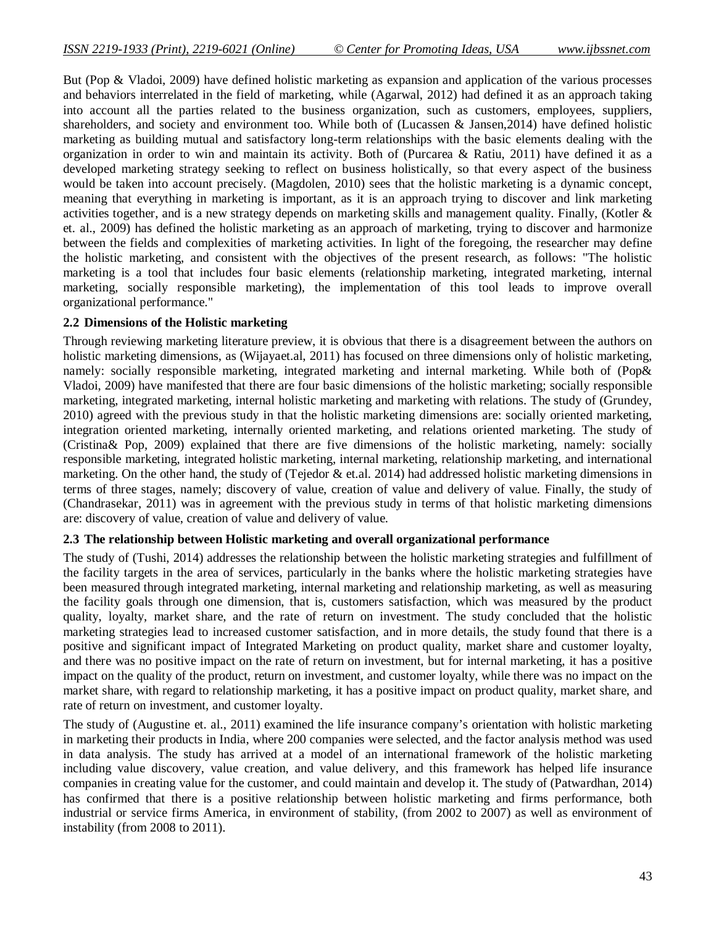But (Pop & Vladoi, 2009) have defined holistic marketing as expansion and application of the various processes and behaviors interrelated in the field of marketing, while (Agarwal, 2012) had defined it as an approach taking into account all the parties related to the business organization, such as customers, employees, suppliers, shareholders, and society and environment too. While both of (Lucassen & Jansen,2014) have defined holistic marketing as building mutual and satisfactory long-term relationships with the basic elements dealing with the organization in order to win and maintain its activity. Both of (Purcarea & Ratiu, 2011) have defined it as a developed marketing strategy seeking to reflect on business holistically, so that every aspect of the business would be taken into account precisely. (Magdolen, 2010) sees that the holistic marketing is a dynamic concept, meaning that everything in marketing is important, as it is an approach trying to discover and link marketing activities together, and is a new strategy depends on marketing skills and management quality. Finally, (Kotler  $\&$ et. al., 2009) has defined the holistic marketing as an approach of marketing, trying to discover and harmonize between the fields and complexities of marketing activities. In light of the foregoing, the researcher may define the holistic marketing, and consistent with the objectives of the present research, as follows: "The holistic marketing is a tool that includes four basic elements (relationship marketing, integrated marketing, internal marketing, socially responsible marketing), the implementation of this tool leads to improve overall organizational performance."

#### **2.2 Dimensions of the Holistic marketing**

Through reviewing marketing literature preview, it is obvious that there is a disagreement between the authors on holistic marketing dimensions, as (Wijayaet.al, 2011) has focused on three dimensions only of holistic marketing, namely: socially responsible marketing, integrated marketing and internal marketing. While both of (Pop& Vladoi, 2009) have manifested that there are four basic dimensions of the holistic marketing; socially responsible marketing, integrated marketing, internal holistic marketing and marketing with relations. The study of (Grundey, 2010) agreed with the previous study in that the holistic marketing dimensions are: socially oriented marketing, integration oriented marketing, internally oriented marketing, and relations oriented marketing. The study of (Cristina& Pop, 2009) explained that there are five dimensions of the holistic marketing, namely: socially responsible marketing, integrated holistic marketing, internal marketing, relationship marketing, and international marketing. On the other hand, the study of (Tejedor & et.al. 2014) had addressed holistic marketing dimensions in terms of three stages, namely; discovery of value, creation of value and delivery of value. Finally, the study of (Chandrasekar, 2011) was in agreement with the previous study in terms of that holistic marketing dimensions are: discovery of value, creation of value and delivery of value.

#### **2.3 The relationship between Holistic marketing and overall organizational performance**

The study of (Tushi, 2014) addresses the relationship between the holistic marketing strategies and fulfillment of the facility targets in the area of services, particularly in the banks where the holistic marketing strategies have been measured through integrated marketing, internal marketing and relationship marketing, as well as measuring the facility goals through one dimension, that is, customers satisfaction, which was measured by the product quality, loyalty, market share, and the rate of return on investment. The study concluded that the holistic marketing strategies lead to increased customer satisfaction, and in more details, the study found that there is a positive and significant impact of Integrated Marketing on product quality, market share and customer loyalty, and there was no positive impact on the rate of return on investment, but for internal marketing, it has a positive impact on the quality of the product, return on investment, and customer loyalty, while there was no impact on the market share, with regard to relationship marketing, it has a positive impact on product quality, market share, and rate of return on investment, and customer loyalty.

The study of (Augustine et. al., 2011) examined the life insurance company's orientation with holistic marketing in marketing their products in India, where 200 companies were selected, and the factor analysis method was used in data analysis. The study has arrived at a model of an international framework of the holistic marketing including value discovery, value creation, and value delivery, and this framework has helped life insurance companies in creating value for the customer, and could maintain and develop it. The study of (Patwardhan, 2014) has confirmed that there is a positive relationship between holistic marketing and firms performance, both industrial or service firms America, in environment of stability, (from 2002 to 2007) as well as environment of instability (from 2008 to 2011).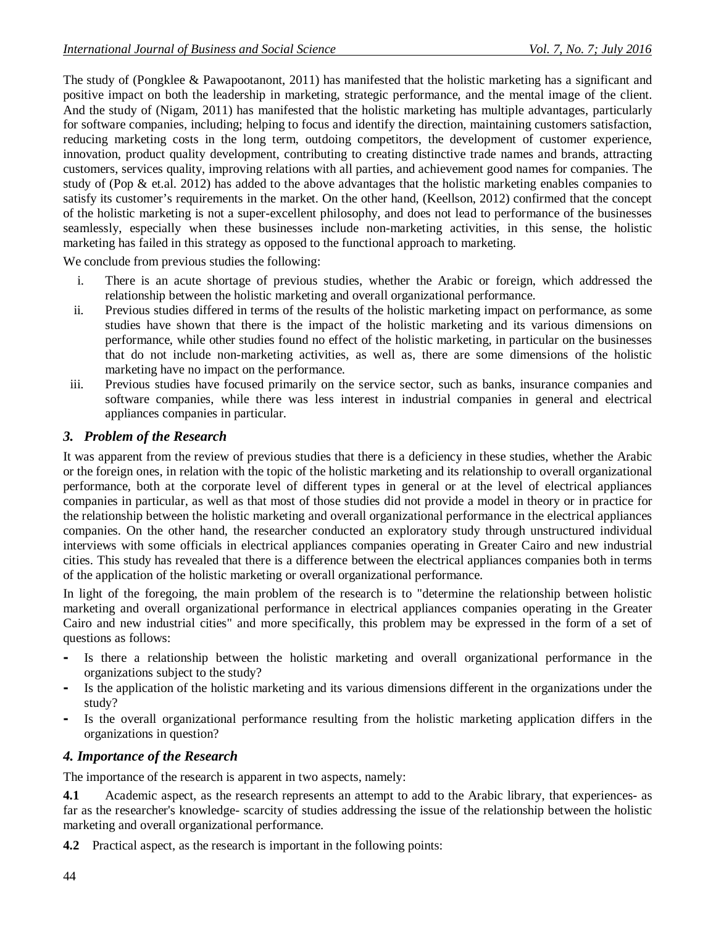The study of (Pongklee & Pawapootanont, 2011) has manifested that the holistic marketing has a significant and positive impact on both the leadership in marketing, strategic performance, and the mental image of the client. And the study of (Nigam, 2011) has manifested that the holistic marketing has multiple advantages, particularly for software companies, including; helping to focus and identify the direction, maintaining customers satisfaction, reducing marketing costs in the long term, outdoing competitors, the development of customer experience, innovation, product quality development, contributing to creating distinctive trade names and brands, attracting customers, services quality, improving relations with all parties, and achievement good names for companies. The study of (Pop & et.al. 2012) has added to the above advantages that the holistic marketing enables companies to satisfy its customer's requirements in the market. On the other hand, (Keellson, 2012) confirmed that the concept of the holistic marketing is not a super-excellent philosophy, and does not lead to performance of the businesses seamlessly, especially when these businesses include non-marketing activities, in this sense, the holistic marketing has failed in this strategy as opposed to the functional approach to marketing.

We conclude from previous studies the following:

- i. There is an acute shortage of previous studies, whether the Arabic or foreign, which addressed the relationship between the holistic marketing and overall organizational performance.
- ii. Previous studies differed in terms of the results of the holistic marketing impact on performance, as some studies have shown that there is the impact of the holistic marketing and its various dimensions on performance, while other studies found no effect of the holistic marketing, in particular on the businesses that do not include non-marketing activities, as well as, there are some dimensions of the holistic marketing have no impact on the performance.
- iii. Previous studies have focused primarily on the service sector, such as banks, insurance companies and software companies, while there was less interest in industrial companies in general and electrical appliances companies in particular.

#### *3. Problem of the Research*

It was apparent from the review of previous studies that there is a deficiency in these studies, whether the Arabic or the foreign ones, in relation with the topic of the holistic marketing and its relationship to overall organizational performance, both at the corporate level of different types in general or at the level of electrical appliances companies in particular, as well as that most of those studies did not provide a model in theory or in practice for the relationship between the holistic marketing and overall organizational performance in the electrical appliances companies. On the other hand, the researcher conducted an exploratory study through unstructured individual interviews with some officials in electrical appliances companies operating in Greater Cairo and new industrial cities. This study has revealed that there is a difference between the electrical appliances companies both in terms of the application of the holistic marketing or overall organizational performance.

In light of the foregoing, the main problem of the research is to "determine the relationship between holistic marketing and overall organizational performance in electrical appliances companies operating in the Greater Cairo and new industrial cities" and more specifically, this problem may be expressed in the form of a set of questions as follows:

- **-** Is there a relationship between the holistic marketing and overall organizational performance in the organizations subject to the study?
- **-** Is the application of the holistic marketing and its various dimensions different in the organizations under the study?
- **-** Is the overall organizational performance resulting from the holistic marketing application differs in the organizations in question?

## *4. Importance of the Research*

The importance of the research is apparent in two aspects, namely:

**4.1** Academic aspect, as the research represents an attempt to add to the Arabic library, that experiences- as far as the researcher's knowledge- scarcity of studies addressing the issue of the relationship between the holistic marketing and overall organizational performance.

**4.2** Practical aspect, as the research is important in the following points: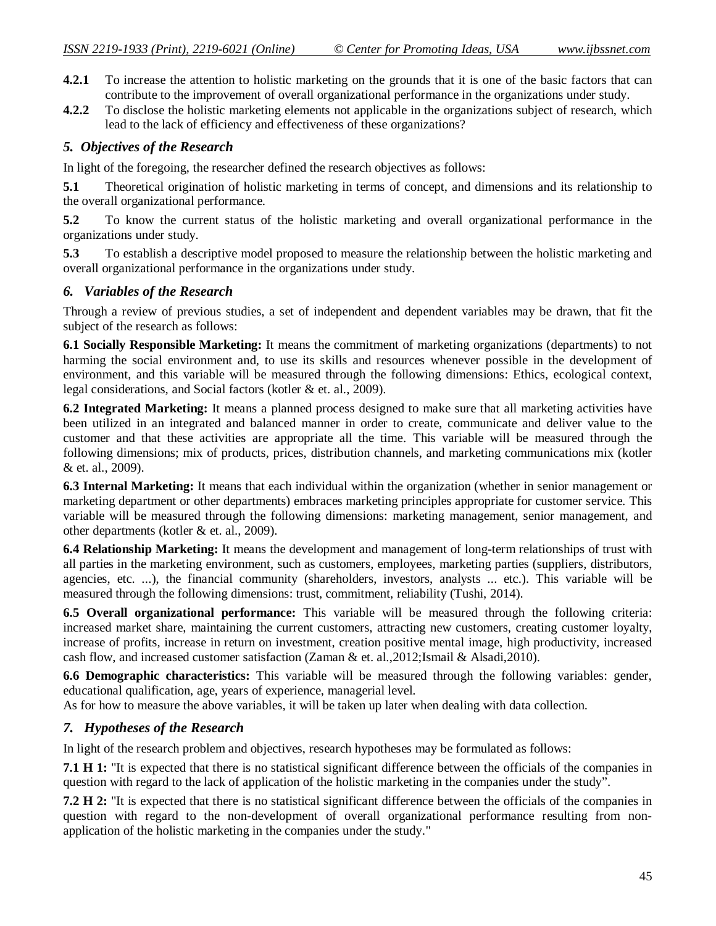- **4.2.1** To increase the attention to holistic marketing on the grounds that it is one of the basic factors that can contribute to the improvement of overall organizational performance in the organizations under study.
- **4.2.2** To disclose the holistic marketing elements not applicable in the organizations subject of research, which lead to the lack of efficiency and effectiveness of these organizations?

## *5. Objectives of the Research*

In light of the foregoing, the researcher defined the research objectives as follows:

**5.1** Theoretical origination of holistic marketing in terms of concept, and dimensions and its relationship to the overall organizational performance.

**5.2** To know the current status of the holistic marketing and overall organizational performance in the organizations under study.

**5.3** To establish a descriptive model proposed to measure the relationship between the holistic marketing and overall organizational performance in the organizations under study.

## *6. Variables of the Research*

Through a review of previous studies, a set of independent and dependent variables may be drawn, that fit the subject of the research as follows:

**6.1 Socially Responsible Marketing:** It means the commitment of marketing organizations (departments) to not harming the social environment and, to use its skills and resources whenever possible in the development of environment, and this variable will be measured through the following dimensions: Ethics, ecological context, legal considerations, and Social factors (kotler & et. al., 2009).

**6.2 Integrated Marketing:** It means a planned process designed to make sure that all marketing activities have been utilized in an integrated and balanced manner in order to create, communicate and deliver value to the customer and that these activities are appropriate all the time. This variable will be measured through the following dimensions; mix of products, prices, distribution channels, and marketing communications mix (kotler & et. al., 2009).

**6.3 Internal Marketing:** It means that each individual within the organization (whether in senior management or marketing department or other departments) embraces marketing principles appropriate for customer service. This variable will be measured through the following dimensions: marketing management, senior management, and other departments (kotler & et. al., 2009).

**6.4 Relationship Marketing:** It means the development and management of long-term relationships of trust with all parties in the marketing environment, such as customers, employees, marketing parties (suppliers, distributors, agencies, etc. ...), the financial community (shareholders, investors, analysts ... etc.). This variable will be measured through the following dimensions: trust, commitment, reliability (Tushi, 2014).

**6.5 Overall organizational performance:** This variable will be measured through the following criteria: increased market share, maintaining the current customers, attracting new customers, creating customer loyalty, increase of profits, increase in return on investment, creation positive mental image, high productivity, increased cash flow, and increased customer satisfaction (Zaman & et. al.,2012;Ismail & Alsadi,2010).

**6.6 Demographic characteristics:** This variable will be measured through the following variables: gender, educational qualification, age, years of experience, managerial level.

As for how to measure the above variables, it will be taken up later when dealing with data collection.

## *7. Hypotheses of the Research*

In light of the research problem and objectives, research hypotheses may be formulated as follows:

**7.1 H 1:** "It is expected that there is no statistical significant difference between the officials of the companies in question with regard to the lack of application of the holistic marketing in the companies under the study".

**7.2 H 2:** "It is expected that there is no statistical significant difference between the officials of the companies in question with regard to the non-development of overall organizational performance resulting from nonapplication of the holistic marketing in the companies under the study."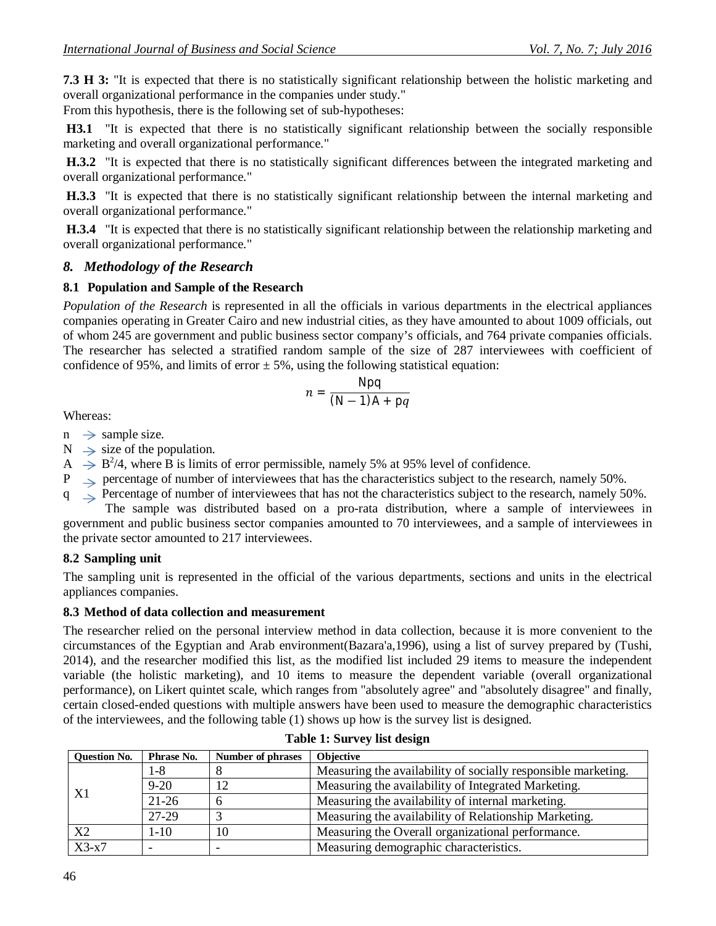**7.3 H 3:** "It is expected that there is no statistically significant relationship between the holistic marketing and overall organizational performance in the companies under study."

From this hypothesis, there is the following set of sub-hypotheses:

**H3.1** "It is expected that there is no statistically significant relationship between the socially responsible marketing and overall organizational performance."

**H.3.2** "It is expected that there is no statistically significant differences between the integrated marketing and overall organizational performance."

**H.3.3** "It is expected that there is no statistically significant relationship between the internal marketing and overall organizational performance."

**H.3.4** "It is expected that there is no statistically significant relationship between the relationship marketing and overall organizational performance."

#### *8. Methodology of the Research*

#### **8.1 Population and Sample of the Research**

*Population of the Research* is represented in all the officials in various departments in the electrical appliances companies operating in Greater Cairo and new industrial cities, as they have amounted to about 1009 officials, out of whom 245 are government and public business sector company's officials, and 764 private companies officials. The researcher has selected a stratified random sample of the size of 287 interviewees with coefficient of confidence of 95%, and limits of error  $\pm$  5%, using the following statistical equation:

$$
n = \frac{Npq}{(N-1)A + pq}
$$

Whereas:

- $n \rightarrow$  sample size.
- $N \rightarrow$  size of the population.
- $A \rightarrow B^2/4$ , where B is limits of error permissible, namely 5% at 95% level of confidence.
- $P \implies$  percentage of number of interviewees that has the characteristics subject to the research, namely 50%.
- q  $\leq$  Percentage of number of interviewees that has not the characteristics subject to the research, namely 50%.

The sample was distributed based on a pro-rata distribution, where a sample of interviewees in government and public business sector companies amounted to 70 interviewees, and a sample of interviewees in the private sector amounted to 217 interviewees.

#### **8.2 Sampling unit**

The sampling unit is represented in the official of the various departments, sections and units in the electrical appliances companies.

#### **8.3 Method of data collection and measurement**

The researcher relied on the personal interview method in data collection, because it is more convenient to the circumstances of the Egyptian and Arab environment(Bazara'a,1996), using a list of survey prepared by (Tushi, 2014), and the researcher modified this list, as the modified list included 29 items to measure the independent variable (the holistic marketing), and 10 items to measure the dependent variable (overall organizational performance), on Likert quintet scale, which ranges from "absolutely agree" and "absolutely disagree" and finally, certain closed-ended questions with multiple answers have been used to measure the demographic characteristics of the interviewees, and the following table (1) shows up how is the survey list is designed.

| <b>Question No.</b> | Phrase No. | <b>Number of phrases</b> | <b>Objective</b>                                              |
|---------------------|------------|--------------------------|---------------------------------------------------------------|
|                     | $1-8$      |                          | Measuring the availability of socially responsible marketing. |
| X1                  | $9 - 20$   | 12                       | Measuring the availability of Integrated Marketing.           |
|                     | $21-26$    |                          | Measuring the availability of internal marketing.             |
|                     | 27-29      |                          | Measuring the availability of Relationship Marketing.         |
| X2                  | $1 - 10$   | 10                       | Measuring the Overall organizational performance.             |
| $X3-x7$             |            |                          | Measuring demographic characteristics.                        |

#### **Table 1: Survey list design**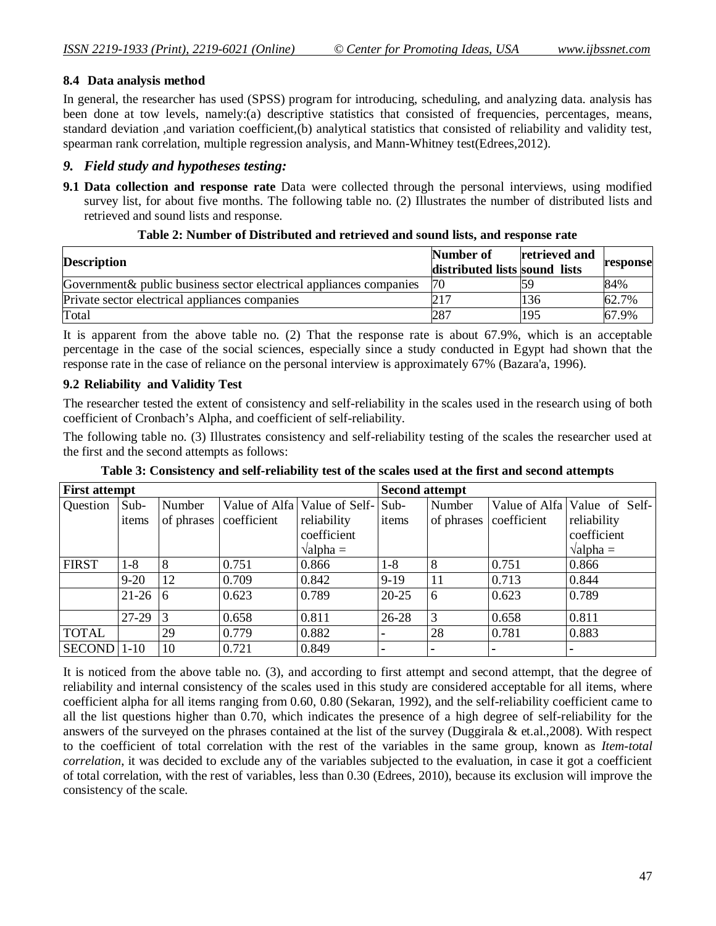#### **8.4 Data analysis method**

In general, the researcher has used (SPSS) program for introducing, scheduling, and analyzing data. analysis has been done at tow levels, namely:(a) descriptive statistics that consisted of frequencies, percentages, means, standard deviation ,and variation coefficient,(b) analytical statistics that consisted of reliability and validity test, spearman rank correlation, multiple regression analysis, and Mann-Whitney test(Edrees,2012).

#### *9. Field study and hypotheses testing:*

**9.1 Data collection and response rate** Data were collected through the personal interviews, using modified survey list, for about five months. The following table no. (2) Illustrates the number of distributed lists and retrieved and sound lists and response.

| <b>Description</b>                                                  | Number of<br>distributed lists sound lists | retrieved and | response |
|---------------------------------------------------------------------|--------------------------------------------|---------------|----------|
| Government & public business sector electrical appliances companies | 70                                         |               | 84%      |
| Private sector electrical appliances companies                      |                                            | 136           | 62.7%    |
| Total                                                               | 287                                        | 195           | 67.9%    |

#### **Table 2: Number of Distributed and retrieved and sound lists, and response rate**

It is apparent from the above table no. (2) That the response rate is about 67.9%, which is an acceptable percentage in the case of the social sciences, especially since a study conducted in Egypt had shown that the response rate in the case of reliance on the personal interview is approximately 67% (Bazara'a, 1996).

#### **9.2 Reliability and Validity Test**

The researcher tested the extent of consistency and self-reliability in the scales used in the research using of both coefficient of Cronbach's Alpha, and coefficient of self-reliability.

The following table no. (3) Illustrates consistency and self-reliability testing of the scales the researcher used at the first and the second attempts as follows:

| <b>First attempt</b>        |          |            |             |                                       | <b>Second attempt</b> |            |                |                              |
|-----------------------------|----------|------------|-------------|---------------------------------------|-----------------------|------------|----------------|------------------------------|
| Question                    | $Sub-$   | Number     |             | Value of Alfa   Value of Self-   Sub- |                       | Number     |                | Value of Alfa Value of Self- |
|                             | items    | of phrases | coefficient | reliability                           | items                 | of phrases | coefficient    | reliability                  |
|                             |          |            |             | coefficient                           |                       |            |                | coefficient                  |
|                             |          |            |             | $\theta$ alpha =                      |                       |            |                | $\theta$ alpha =             |
| <b>FIRST</b>                | 1-8      | 8          | 0.751       | 0.866                                 | $1-8$                 | 8          | 0.751          | 0.866                        |
|                             | $9 - 20$ | 12         | 0.709       | 0.842                                 | $9-19$                | 11         | 0.713          | 0.844                        |
|                             | $21-26$  | 6          | 0.623       | 0.789                                 | $20 - 25$             | 6          | 0.623          | 0.789                        |
|                             | 27-29    | 3          | 0.658       | 0.811                                 | $26 - 28$             | 3          | 0.658          | 0.811                        |
| <b>TOTAL</b>                |          | 29         | 0.779       | 0.882                                 | ۰                     | 28         | 0.781          | 0.883                        |
| $\vert$ SECOND $\vert$ 1-10 |          | 10         | 0.721       | 0.849                                 | ۰                     |            | $\blacksquare$ | $\blacksquare$               |

**Table 3: Consistency and self-reliability test of the scales used at the first and second attempts**

It is noticed from the above table no. (3), and according to first attempt and second attempt, that the degree of reliability and internal consistency of the scales used in this study are considered acceptable for all items, where coefficient alpha for all items ranging from 0.60, 0.80 (Sekaran, 1992), and the self-reliability coefficient came to all the list questions higher than 0.70, which indicates the presence of a high degree of self-reliability for the answers of the surveyed on the phrases contained at the list of the survey (Duggirala & et.al.,2008). With respect to the coefficient of total correlation with the rest of the variables in the same group, known as *Item-total correlation*, it was decided to exclude any of the variables subjected to the evaluation, in case it got a coefficient of total correlation, with the rest of variables, less than 0.30 (Edrees, 2010), because its exclusion will improve the consistency of the scale.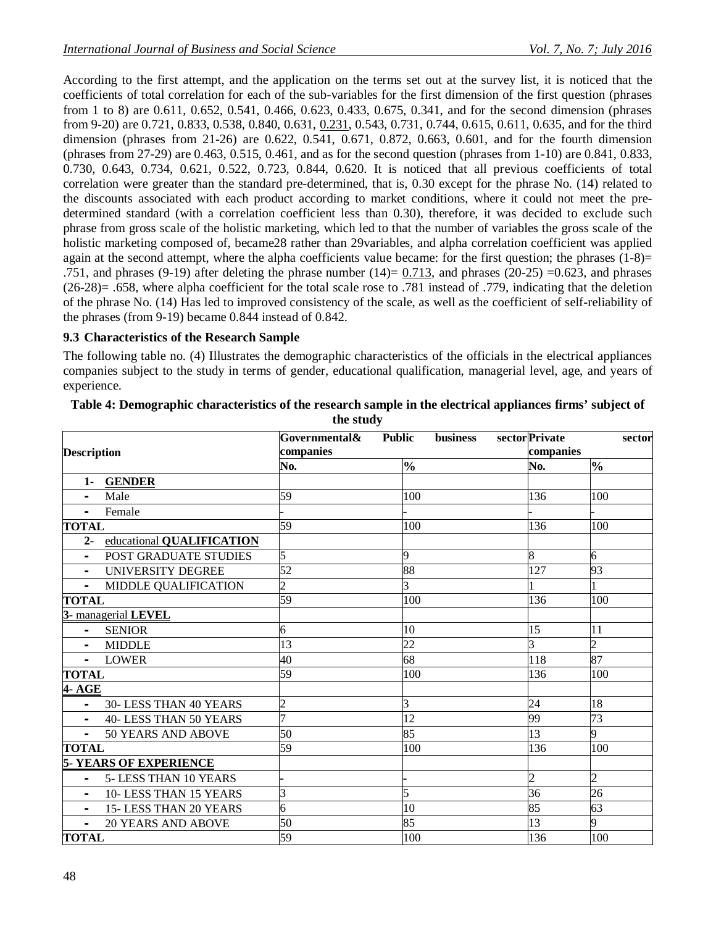According to the first attempt, and the application on the terms set out at the survey list, it is noticed that the coefficients of total correlation for each of the sub-variables for the first dimension of the first question (phrases from 1 to 8) are 0.611, 0.652, 0.541, 0.466, 0.623, 0.433, 0.675, 0.341, and for the second dimension (phrases from 9-20) are 0.721, 0.833, 0.538, 0.840, 0.631, 0.231, 0.543, 0.731, 0.744, 0.615, 0.611, 0.635, and for the third dimension (phrases from 21-26) are 0.622, 0.541, 0.671, 0.872, 0.663, 0.601, and for the fourth dimension (phrases from 27-29) are  $0.463$ ,  $0.515$ ,  $0.461$ , and as for the second question (phrases from 1-10) are  $0.841$ ,  $0.833$ . 0.730, 0.643, 0.734, 0.621, 0.522, 0.723, 0.844, 0.620. It is noticed that all previous coefficients of total correlation were greater than the standard pre-determined, that is, 0.30 except for the phrase No. (14) related to the discounts associated with each product according to market conditions, where it could not meet the predetermined standard (with a correlation coefficient less than 0.30), therefore, it was decided to exclude such phrase from gross scale of the holistic marketing, which led to that the number of variables the gross scale of the holistic marketing composed of, became28 rather than 29variables, and alpha correlation coefficient was applied again at the second attempt, where the alpha coefficients value became: for the first question; the phrases  $(1-8)$ = .751, and phrases (9-19) after deleting the phrase number (14)= 0.713, and phrases (20-25) =0.623, and phrases  $(26-28)$ = .658, where alpha coefficient for the total scale rose to .781 instead of .779, indicating that the deletion of the phrase No. (14) Has led to improved consistency of the scale, as well as the coefficient of self-reliability of the phrases (from 9-19) became 0.844 instead of 0.842.

#### **9.3 Characteristics of the Research Sample**

The following table no. (4) Illustrates the demographic characteristics of the officials in the electrical appliances companies subject to the study in terms of gender, educational qualification, managerial level, age, and years of experience.

| <b>Description</b>                                        | Governmental&<br>companies | <b>business</b><br><b>Public</b> | sector Private<br>companies | sector                   |
|-----------------------------------------------------------|----------------------------|----------------------------------|-----------------------------|--------------------------|
|                                                           | No.                        | $\frac{0}{0}$                    | No.                         | $\frac{1}{2}$            |
| <b>GENDER</b><br>$1-$                                     |                            |                                  |                             |                          |
| Male                                                      | 59                         | 100                              | 136                         | 100                      |
| Female<br>$\overline{\phantom{0}}$                        |                            |                                  |                             |                          |
| <b>TOTAL</b>                                              | 59                         | 100                              | 136                         | 100                      |
| $2 -$<br>educational QUALIFICATION                        |                            |                                  |                             |                          |
| <b>POST GRADUATE STUDIES</b>                              | 5                          | 9                                | 8                           | 6                        |
| UNIVERSITY DEGREE<br>$\blacksquare$                       | 52                         | 88                               | 127                         | 93                       |
| MIDDLE QUALIFICATION<br>$\overline{\phantom{0}}$          | $\overline{2}$             | 3                                |                             |                          |
| <b>TOTAL</b>                                              | 59                         | 100                              | 136                         | 100                      |
| 3- managerial LEVEL                                       |                            |                                  |                             |                          |
| <b>SENIOR</b><br>$\sim$                                   | 6                          | 10                               | 15                          | 11                       |
| <b>MIDDLE</b>                                             | 13                         | 22                               | $\overline{3}$              | $\overline{\mathcal{L}}$ |
| <b>LOWER</b><br>$\sim 100$                                | 40                         | 68                               | 118                         | 87                       |
| <b>TOTAL</b>                                              | 59                         | 100                              | 136                         | 100                      |
| 4- AGE                                                    |                            |                                  |                             |                          |
| 30-LESS THAN 40 YEARS<br>$\blacksquare$                   | $\overline{2}$             | 3                                | 24                          | 18                       |
| 40-LESS THAN 50 YEARS                                     |                            | 12                               | 99                          | 73                       |
| 50 YEARS AND ABOVE<br>$\blacksquare$                      | 50                         | 85                               | 13                          | 9                        |
| <b>TOTAL</b>                                              | 59                         | 100                              | 136                         | 100                      |
| <b>5- YEARS OF EXPERIENCE</b>                             |                            |                                  |                             |                          |
| 5-LESS THAN 10 YEARS                                      |                            |                                  | $\overline{2}$              | $\overline{2}$           |
| 10-LESS THAN 15 YEARS<br>$\blacksquare$                   | 3                          | 5                                | 36                          | $\overline{26}$          |
| 15-LESS THAN 20 YEARS                                     | 6                          | 10                               | 85                          | 63                       |
| <b>20 YEARS AND ABOVE</b><br>$\qquad \qquad \blacksquare$ | 50                         | 85                               | 13                          | 9                        |
| <b>TOTAL</b>                                              | 59                         | 100                              | $\overline{136}$            | 100                      |

| Table 4: Demographic characteristics of the research sample in the electrical appliances firms' subject of |  |
|------------------------------------------------------------------------------------------------------------|--|
| the study                                                                                                  |  |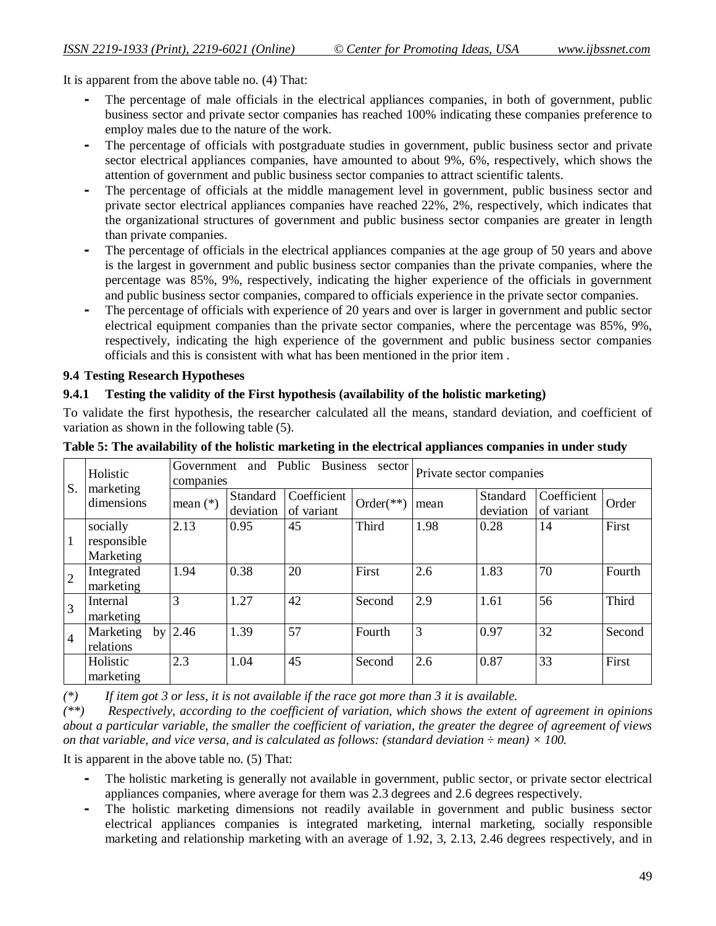It is apparent from the above table no. (4) That:

- **-** The percentage of male officials in the electrical appliances companies, in both of government, public business sector and private sector companies has reached 100% indicating these companies preference to employ males due to the nature of the work.
- **-** The percentage of officials with postgraduate studies in government, public business sector and private sector electrical appliances companies, have amounted to about 9%, 6%, respectively, which shows the attention of government and public business sector companies to attract scientific talents.
- **-** The percentage of officials at the middle management level in government, public business sector and private sector electrical appliances companies have reached 22%, 2%, respectively, which indicates that the organizational structures of government and public business sector companies are greater in length than private companies.
- **-** The percentage of officials in the electrical appliances companies at the age group of 50 years and above is the largest in government and public business sector companies than the private companies, where the percentage was 85%, 9%, respectively, indicating the higher experience of the officials in government and public business sector companies, compared to officials experience in the private sector companies.
- **-** The percentage of officials with experience of 20 years and over is larger in government and public sector electrical equipment companies than the private sector companies, where the percentage was 85%, 9%, respectively, indicating the high experience of the government and public business sector companies officials and this is consistent with what has been mentioned in the prior item .

#### **9.4 Testing Research Hypotheses**

#### **9.4.1 Testing the validity of the First hypothesis (availability of the holistic marketing)**

To validate the first hypothesis, the researcher calculated all the means, standard deviation, and coefficient of variation as shown in the following table (5).

|                | Holistic                | Government<br>companies |                       | and Public Business       | sector      | Private sector companies |                       |                           |        |
|----------------|-------------------------|-------------------------|-----------------------|---------------------------|-------------|--------------------------|-----------------------|---------------------------|--------|
| S.             | marketing<br>dimensions | mean $(*)$              | Standard<br>deviation | Coefficient<br>of variant | $Order(**)$ | mean                     | Standard<br>deviation | Coefficient<br>of variant | Order  |
|                | socially                | 2.13                    | 0.95                  | 45                        | Third       | 1.98                     | 0.28                  | 14                        | First  |
| 1              | responsible             |                         |                       |                           |             |                          |                       |                           |        |
|                | Marketing               |                         |                       |                           |             |                          |                       |                           |        |
| $\overline{2}$ | Integrated              | 1.94                    | 0.38                  | 20                        | First       | 2.6                      | 1.83                  | 70                        | Fourth |
|                | marketing               |                         |                       |                           |             |                          |                       |                           |        |
| 3              | Internal                | 3                       | 1.27                  | 42                        | Second      | 2.9                      | 1.61                  | 56                        | Third  |
|                | marketing               |                         |                       |                           |             |                          |                       |                           |        |
| $\overline{4}$ | Marketing<br>by         | 2.46                    | 1.39                  | 57                        | Fourth      | 3                        | 0.97                  | 32                        | Second |
|                | relations               |                         |                       |                           |             |                          |                       |                           |        |
|                | Holistic                | 2.3                     | 1.04                  | 45                        | Second      | 2.6                      | 0.87                  | 33                        | First  |
|                | marketing               |                         |                       |                           |             |                          |                       |                           |        |

**Table 5: The availability of the holistic marketing in the electrical appliances companies in under study**

*(\*) If item got 3 or less, it is not available if the race got more than 3 it is available.*

*(\*\*) Respectively, according to the coefficient of variation, which shows the extent of agreement in opinions about a particular variable, the smaller the coefficient of variation, the greater the degree of agreement of views on that variable, and vice versa, and is calculated as follows: (standard deviation ÷ mean) × 100.*

It is apparent in the above table no. (5) That:

- **-** The holistic marketing is generally not available in government, public sector, or private sector electrical appliances companies, where average for them was 2.3 degrees and 2.6 degrees respectively.
- **-** The holistic marketing dimensions not readily available in government and public business sector electrical appliances companies is integrated marketing, internal marketing, socially responsible marketing and relationship marketing with an average of 1.92, 3, 2.13, 2.46 degrees respectively, and in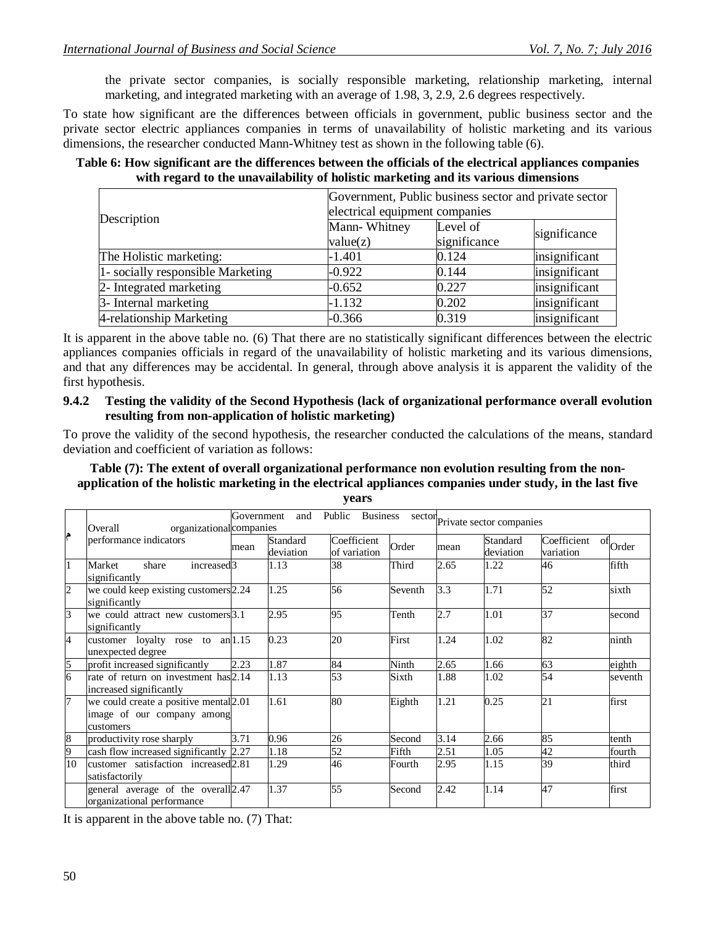the private sector companies, is socially responsible marketing, relationship marketing, internal marketing, and integrated marketing with an average of 1.98, 3, 2.9, 2.6 degrees respectively.

To state how significant are the differences between officials in government, public business sector and the private sector electric appliances companies in terms of unavailability of holistic marketing and its various dimensions, the researcher conducted Mann-Whitney test as shown in the following table (6).

#### **Table 6: How significant are the differences between the officials of the electrical appliances companies with regard to the unavailability of holistic marketing and its various dimensions**

|                                   | Government, Public business sector and private sector |              |               |
|-----------------------------------|-------------------------------------------------------|--------------|---------------|
| Description                       | electrical equipment companies                        |              |               |
|                                   | Mann-Whitney                                          | Level of     |               |
|                                   | value(z)                                              | significance | significance  |
| The Holistic marketing:           | $-1.401$                                              | 0.124        | insignificant |
| 1- socially responsible Marketing | $-0.922$                                              | 0.144        | insignificant |
| 2- Integrated marketing           | $-0.652$                                              | 0.227        | insignificant |
| 3- Internal marketing             | $-1.132$                                              | 0.202        | insignificant |
| 4-relationship Marketing          | $-0.366$                                              | 0.319        | insignificant |

It is apparent in the above table no. (6) That there are no statistically significant differences between the electric appliances companies officials in regard of the unavailability of holistic marketing and its various dimensions, and that any differences may be accidental. In general, through above analysis it is apparent the validity of the first hypothesis.

**9.4.2 Testing the validity of the Second Hypothesis (lack of organizational performance overall evolution resulting from non-application of holistic marketing)**

To prove the validity of the second hypothesis, the researcher conducted the calculations of the means, standard deviation and coefficient of variation as follows:

#### **Table (7): The extent of overall organizational performance non evolution resulting from the nonapplication of the holistic marketing in the electrical appliances companies under study, in the last five years**

|                | Overall<br>organizational companies                                               | Government | and                   | Public Business sector Private sector companies |         |      |                       |                          |                           |
|----------------|-----------------------------------------------------------------------------------|------------|-----------------------|-------------------------------------------------|---------|------|-----------------------|--------------------------|---------------------------|
| م              | performance indicators                                                            | mean       | Standard<br>deviation | Coefficient<br>of variation                     | Order   | mean | Standard<br>deviation | Coefficient<br>variation | $\operatorname{of}$ Order |
| $\mathbf{1}$   | share<br>Market<br>increased <sub>3</sub><br>significantly                        |            | 1.13                  | 38                                              | Third   | 2.65 | 1.22                  | 46                       | fifth                     |
| $\overline{2}$ | we could keep existing customers 2.24<br>significantly                            |            | 1.25                  | 56                                              | Seventh | 3.3  | 1.71                  | 52                       | sixth                     |
| $\overline{3}$ | we could attract new customers 3.1<br>significantly                               |            | 2.95                  | 95                                              | Tenth   | 2.7  | 1.01                  | 37                       | second                    |
| $\overline{4}$ | customer loyalty rose to $an 1.15$<br>unexpected degree                           |            | 0.23                  | 20                                              | First   | 1.24 | 1.02                  | 82                       | ninth                     |
| $\overline{5}$ | profit increased significantly                                                    | 2.23       | 1.87                  | 84                                              | Ninth   | 2.65 | 1.66                  | 63                       | eighth                    |
| 6              | rate of return on investment has 2.14<br>increased significantly                  |            | 1.13                  | 53                                              | Sixth   | 1.88 | 1.02                  | 54                       | seventh                   |
| 7              | we could create a positive mental 2.01<br>image of our company among<br>customers |            | 1.61                  | 80                                              | Eighth  | 1.21 | 0.25                  | 21                       | first                     |
| $\overline{8}$ | productivity rose sharply                                                         | 3.71       | 0.96                  | 26                                              | Second  | 3.14 | 2.66                  | 85                       | tenth                     |
| 9              | cash flow increased significantly 2.27                                            |            | 1.18                  | 52                                              | Fifth   | 2.51 | 1.05                  | 42                       | fourth                    |
| 10             | customer satisfaction increased 2.81<br>satisfactorily                            |            | 1.29                  | 46                                              | Fourth  | 2.95 | 1.15                  | 39                       | third                     |
|                | general average of the overall <sup>2.47</sup><br>organizational performance      |            | 1.37                  | 55                                              | Second  | 2.42 | 1.14                  | 47                       | first                     |

It is apparent in the above table no. (7) That: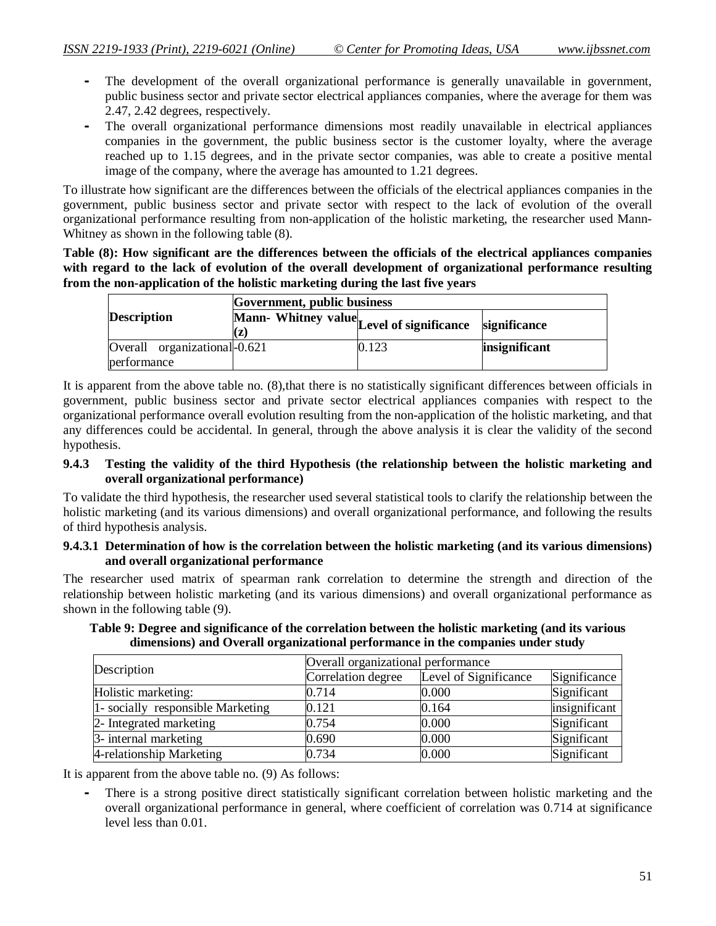- **-** The development of the overall organizational performance is generally unavailable in government, public business sector and private sector electrical appliances companies, where the average for them was 2.47, 2.42 degrees, respectively.
- **-** The overall organizational performance dimensions most readily unavailable in electrical appliances companies in the government, the public business sector is the customer loyalty, where the average reached up to 1.15 degrees, and in the private sector companies, was able to create a positive mental image of the company, where the average has amounted to 1.21 degrees.

To illustrate how significant are the differences between the officials of the electrical appliances companies in the government, public business sector and private sector with respect to the lack of evolution of the overall organizational performance resulting from non-application of the holistic marketing, the researcher used Mann-Whitney as shown in the following table (8).

**Table (8): How significant are the differences between the officials of the electrical appliances companies with regard to the lack of evolution of the overall development of organizational performance resulting from the non-application of the holistic marketing during the last five years**

|                                             | Government, public business              |       |               |
|---------------------------------------------|------------------------------------------|-------|---------------|
| <b>Description</b>                          | Mann-Whitney value Level of significance |       | significance  |
| Overall organizational-0.621<br>performance |                                          | 0.123 | insignificant |

It is apparent from the above table no. (8),that there is no statistically significant differences between officials in government, public business sector and private sector electrical appliances companies with respect to the organizational performance overall evolution resulting from the non-application of the holistic marketing, and that any differences could be accidental. In general, through the above analysis it is clear the validity of the second hypothesis.

#### **9.4.3 Testing the validity of the third Hypothesis (the relationship between the holistic marketing and overall organizational performance)**

To validate the third hypothesis, the researcher used several statistical tools to clarify the relationship between the holistic marketing (and its various dimensions) and overall organizational performance, and following the results of third hypothesis analysis.

#### **9.4.3.1 Determination of how is the correlation between the holistic marketing (and its various dimensions) and overall organizational performance**

The researcher used matrix of spearman rank correlation to determine the strength and direction of the relationship between holistic marketing (and its various dimensions) and overall organizational performance as shown in the following table (9).

| Description                       | Overall organizational performance |                       |               |
|-----------------------------------|------------------------------------|-----------------------|---------------|
|                                   | Correlation degree                 | Level of Significance | Significance  |
| Holistic marketing:               | 0.714                              | 0.000                 | Significant   |
| 1- socially responsible Marketing | 0.121                              | 0.164                 | insignificant |
| 2- Integrated marketing           | 0.754                              | 0.000                 | Significant   |
| 3- internal marketing             | 0.690                              | 0.000                 | Significant   |
| 4-relationship Marketing          | 0.734                              | 0.000                 | Significant   |

#### **Table 9: Degree and significance of the correlation between the holistic marketing (and its various dimensions) and Overall organizational performance in the companies under study**

It is apparent from the above table no. (9) As follows:

**-** There is a strong positive direct statistically significant correlation between holistic marketing and the overall organizational performance in general, where coefficient of correlation was 0.714 at significance level less than 0.01.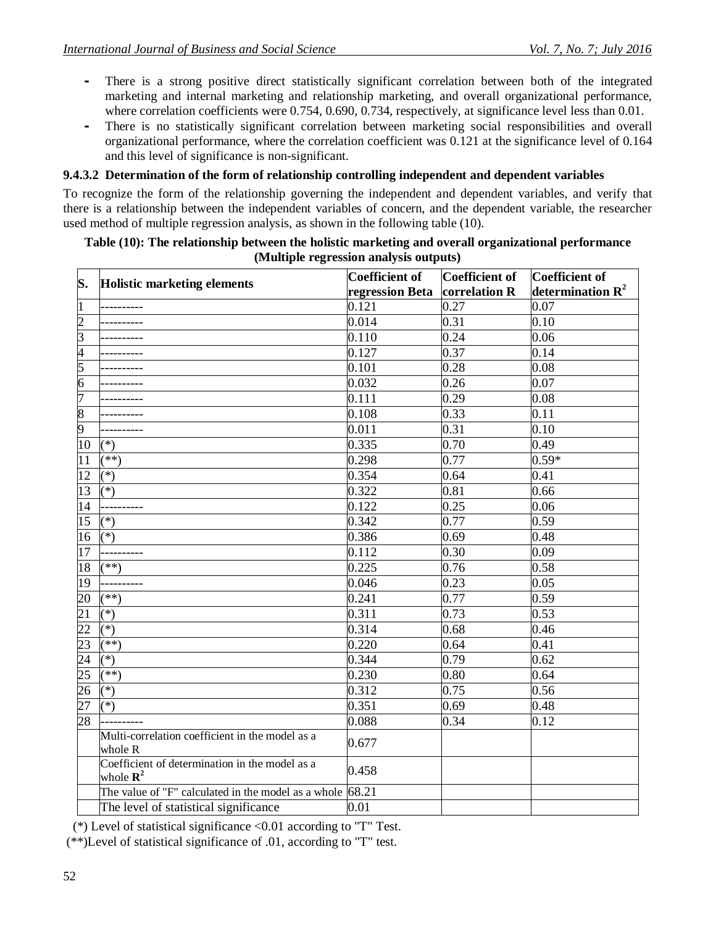- **-** There is a strong positive direct statistically significant correlation between both of the integrated marketing and internal marketing and relationship marketing, and overall organizational performance, where correlation coefficients were  $0.754$ ,  $0.690$ ,  $0.734$ , respectively, at significance level less than  $0.01$ .
- **-** There is no statistically significant correlation between marketing social responsibilities and overall organizational performance, where the correlation coefficient was 0.121 at the significance level of 0.164 and this level of significance is non-significant.

#### **9.4.3.2 Determination of the form of relationship controlling independent and dependent variables**

To recognize the form of the relationship governing the independent and dependent variables, and verify that there is a relationship between the independent variables of concern, and the dependent variable, the researcher used method of multiple regression analysis, as shown in the following table (10).

#### **Table (10): The relationship between the holistic marketing and overall organizational performance (Multiple regression analysis outputs)**

| S.<br><b>Holistic marketing elements</b><br>determination $R^2$<br>regression Beta<br>correlation R<br>$\overline{1}$<br>0.121<br>0.27<br>0.07<br>$\overline{c}$<br>0.014<br>0.31<br>0.10<br>$\overline{3}$<br>0.110<br>0.24<br>0.06<br>$\frac{4}{5}$<br>0.127<br>0.37<br>0.14<br>0.101<br>0.28<br>0.08<br>$\overline{6}$<br>0.032<br>0.26<br>0.07<br>7<br>0.29<br>0.111<br>0.08<br>$\overline{8}$<br>0.108<br>0.33<br>0.11<br>9<br>0.011<br>0.31<br>0.10<br>$\overline{10}$<br>0.335<br>0.70<br>0.49<br>$(*)$<br>$\overline{11}$<br>0.77<br>$0.59*$<br>$(**)$<br>0.298<br>$\overline{12}$<br>$(*)$<br>0.354<br>0.64<br>0.41<br>13<br>$(*)$<br>0.322<br>0.81<br>0.66<br>14<br>0.122<br>0.25<br>0.06<br>---------<br>15<br>0.342<br>0.77<br>0.59<br>$(*)$<br>16<br>0.386<br>0.69<br>$(*)$<br>0.48<br>$\overline{17}$<br>0.112<br>0.30<br>0.09<br>---------<br>18<br>0.225<br>0.58<br>$(**)$<br>0.76<br>19<br>0.23<br>0.05<br>0.046<br>20<br>$\overline{0.77}$<br>0.241<br>0.59<br>$(***)$<br>21<br>0.73<br>$(*)$<br>0.311<br>0.53<br>$\overline{22}$<br>0.314<br>$(*)$<br>0.68<br>0.46<br>23<br>(**)<br>0.220<br>0.64<br>0.41<br>0.344<br>0.79<br>0.62<br>$(*)$<br>$\overline{25}$<br>0.230<br>$\overline{(*)}$<br>0.80<br>0.64<br>26<br>0.312<br>$(\ast)$<br>0.75<br>0.56 |
|---------------------------------------------------------------------------------------------------------------------------------------------------------------------------------------------------------------------------------------------------------------------------------------------------------------------------------------------------------------------------------------------------------------------------------------------------------------------------------------------------------------------------------------------------------------------------------------------------------------------------------------------------------------------------------------------------------------------------------------------------------------------------------------------------------------------------------------------------------------------------------------------------------------------------------------------------------------------------------------------------------------------------------------------------------------------------------------------------------------------------------------------------------------------------------------------------------------------------------------------------------------------------|
|                                                                                                                                                                                                                                                                                                                                                                                                                                                                                                                                                                                                                                                                                                                                                                                                                                                                                                                                                                                                                                                                                                                                                                                                                                                                           |
|                                                                                                                                                                                                                                                                                                                                                                                                                                                                                                                                                                                                                                                                                                                                                                                                                                                                                                                                                                                                                                                                                                                                                                                                                                                                           |
|                                                                                                                                                                                                                                                                                                                                                                                                                                                                                                                                                                                                                                                                                                                                                                                                                                                                                                                                                                                                                                                                                                                                                                                                                                                                           |
|                                                                                                                                                                                                                                                                                                                                                                                                                                                                                                                                                                                                                                                                                                                                                                                                                                                                                                                                                                                                                                                                                                                                                                                                                                                                           |
|                                                                                                                                                                                                                                                                                                                                                                                                                                                                                                                                                                                                                                                                                                                                                                                                                                                                                                                                                                                                                                                                                                                                                                                                                                                                           |
|                                                                                                                                                                                                                                                                                                                                                                                                                                                                                                                                                                                                                                                                                                                                                                                                                                                                                                                                                                                                                                                                                                                                                                                                                                                                           |
|                                                                                                                                                                                                                                                                                                                                                                                                                                                                                                                                                                                                                                                                                                                                                                                                                                                                                                                                                                                                                                                                                                                                                                                                                                                                           |
|                                                                                                                                                                                                                                                                                                                                                                                                                                                                                                                                                                                                                                                                                                                                                                                                                                                                                                                                                                                                                                                                                                                                                                                                                                                                           |
|                                                                                                                                                                                                                                                                                                                                                                                                                                                                                                                                                                                                                                                                                                                                                                                                                                                                                                                                                                                                                                                                                                                                                                                                                                                                           |
|                                                                                                                                                                                                                                                                                                                                                                                                                                                                                                                                                                                                                                                                                                                                                                                                                                                                                                                                                                                                                                                                                                                                                                                                                                                                           |
|                                                                                                                                                                                                                                                                                                                                                                                                                                                                                                                                                                                                                                                                                                                                                                                                                                                                                                                                                                                                                                                                                                                                                                                                                                                                           |
|                                                                                                                                                                                                                                                                                                                                                                                                                                                                                                                                                                                                                                                                                                                                                                                                                                                                                                                                                                                                                                                                                                                                                                                                                                                                           |
|                                                                                                                                                                                                                                                                                                                                                                                                                                                                                                                                                                                                                                                                                                                                                                                                                                                                                                                                                                                                                                                                                                                                                                                                                                                                           |
|                                                                                                                                                                                                                                                                                                                                                                                                                                                                                                                                                                                                                                                                                                                                                                                                                                                                                                                                                                                                                                                                                                                                                                                                                                                                           |
|                                                                                                                                                                                                                                                                                                                                                                                                                                                                                                                                                                                                                                                                                                                                                                                                                                                                                                                                                                                                                                                                                                                                                                                                                                                                           |
| $\overline{2}4$                                                                                                                                                                                                                                                                                                                                                                                                                                                                                                                                                                                                                                                                                                                                                                                                                                                                                                                                                                                                                                                                                                                                                                                                                                                           |
|                                                                                                                                                                                                                                                                                                                                                                                                                                                                                                                                                                                                                                                                                                                                                                                                                                                                                                                                                                                                                                                                                                                                                                                                                                                                           |
|                                                                                                                                                                                                                                                                                                                                                                                                                                                                                                                                                                                                                                                                                                                                                                                                                                                                                                                                                                                                                                                                                                                                                                                                                                                                           |
|                                                                                                                                                                                                                                                                                                                                                                                                                                                                                                                                                                                                                                                                                                                                                                                                                                                                                                                                                                                                                                                                                                                                                                                                                                                                           |
|                                                                                                                                                                                                                                                                                                                                                                                                                                                                                                                                                                                                                                                                                                                                                                                                                                                                                                                                                                                                                                                                                                                                                                                                                                                                           |
|                                                                                                                                                                                                                                                                                                                                                                                                                                                                                                                                                                                                                                                                                                                                                                                                                                                                                                                                                                                                                                                                                                                                                                                                                                                                           |
|                                                                                                                                                                                                                                                                                                                                                                                                                                                                                                                                                                                                                                                                                                                                                                                                                                                                                                                                                                                                                                                                                                                                                                                                                                                                           |
|                                                                                                                                                                                                                                                                                                                                                                                                                                                                                                                                                                                                                                                                                                                                                                                                                                                                                                                                                                                                                                                                                                                                                                                                                                                                           |
|                                                                                                                                                                                                                                                                                                                                                                                                                                                                                                                                                                                                                                                                                                                                                                                                                                                                                                                                                                                                                                                                                                                                                                                                                                                                           |
|                                                                                                                                                                                                                                                                                                                                                                                                                                                                                                                                                                                                                                                                                                                                                                                                                                                                                                                                                                                                                                                                                                                                                                                                                                                                           |
|                                                                                                                                                                                                                                                                                                                                                                                                                                                                                                                                                                                                                                                                                                                                                                                                                                                                                                                                                                                                                                                                                                                                                                                                                                                                           |
|                                                                                                                                                                                                                                                                                                                                                                                                                                                                                                                                                                                                                                                                                                                                                                                                                                                                                                                                                                                                                                                                                                                                                                                                                                                                           |
| 27<br>0.351<br>0.69<br>$(*)$<br>0.48                                                                                                                                                                                                                                                                                                                                                                                                                                                                                                                                                                                                                                                                                                                                                                                                                                                                                                                                                                                                                                                                                                                                                                                                                                      |
| 28<br>0.088<br>0.34<br>0.12                                                                                                                                                                                                                                                                                                                                                                                                                                                                                                                                                                                                                                                                                                                                                                                                                                                                                                                                                                                                                                                                                                                                                                                                                                               |
| Multi-correlation coefficient in the model as a<br>0.677<br>whole R                                                                                                                                                                                                                                                                                                                                                                                                                                                                                                                                                                                                                                                                                                                                                                                                                                                                                                                                                                                                                                                                                                                                                                                                       |
| Coefficient of determination in the model as a<br>0.458<br>whole $\mathbf{R}^2$                                                                                                                                                                                                                                                                                                                                                                                                                                                                                                                                                                                                                                                                                                                                                                                                                                                                                                                                                                                                                                                                                                                                                                                           |
| The value of "F" calculated in the model as a whole $68.21$                                                                                                                                                                                                                                                                                                                                                                                                                                                                                                                                                                                                                                                                                                                                                                                                                                                                                                                                                                                                                                                                                                                                                                                                               |
| The level of statistical significance<br>0.01                                                                                                                                                                                                                                                                                                                                                                                                                                                                                                                                                                                                                                                                                                                                                                                                                                                                                                                                                                                                                                                                                                                                                                                                                             |

(\*) Level of statistical significance <0.01 according to "T" Test.

(\*\*)Level of statistical significance of .01, according to "T" test.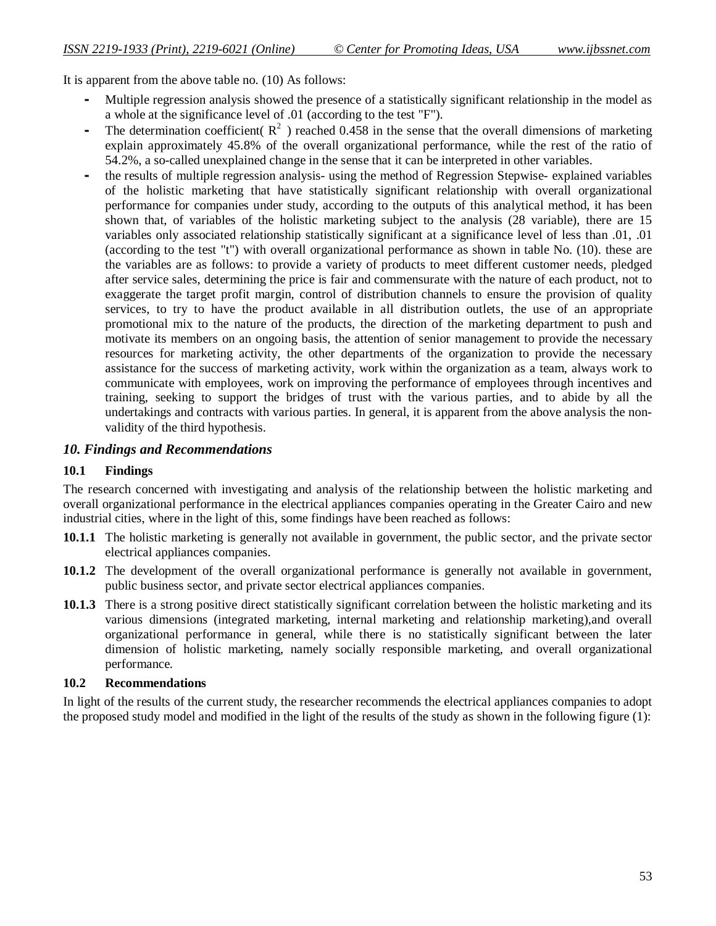It is apparent from the above table no. (10) As follows:

- **-** Multiple regression analysis showed the presence of a statistically significant relationship in the model as a whole at the significance level of .01 (according to the test "F").
- The determination coefficient  $(R^2)$  reached 0.458 in the sense that the overall dimensions of marketing explain approximately 45.8% of the overall organizational performance, while the rest of the ratio of 54.2%, a so-called unexplained change in the sense that it can be interpreted in other variables.
- **-** the results of multiple regression analysis- using the method of Regression Stepwise- explained variables of the holistic marketing that have statistically significant relationship with overall organizational performance for companies under study, according to the outputs of this analytical method, it has been shown that, of variables of the holistic marketing subject to the analysis (28 variable), there are 15 variables only associated relationship statistically significant at a significance level of less than .01, .01 (according to the test "t") with overall organizational performance as shown in table No. (10). these are the variables are as follows: to provide a variety of products to meet different customer needs, pledged after service sales, determining the price is fair and commensurate with the nature of each product, not to exaggerate the target profit margin, control of distribution channels to ensure the provision of quality services, to try to have the product available in all distribution outlets, the use of an appropriate promotional mix to the nature of the products, the direction of the marketing department to push and motivate its members on an ongoing basis, the attention of senior management to provide the necessary resources for marketing activity, the other departments of the organization to provide the necessary assistance for the success of marketing activity, work within the organization as a team, always work to communicate with employees, work on improving the performance of employees through incentives and training, seeking to support the bridges of trust with the various parties, and to abide by all the undertakings and contracts with various parties. In general, it is apparent from the above analysis the nonvalidity of the third hypothesis.

#### *10. Findings and Recommendations*

#### **10.1 Findings**

The research concerned with investigating and analysis of the relationship between the holistic marketing and overall organizational performance in the electrical appliances companies operating in the Greater Cairo and new industrial cities, where in the light of this, some findings have been reached as follows:

- **10.1.1** The holistic marketing is generally not available in government, the public sector, and the private sector electrical appliances companies.
- **10.1.2** The development of the overall organizational performance is generally not available in government, public business sector, and private sector electrical appliances companies.
- **10.1.3** There is a strong positive direct statistically significant correlation between the holistic marketing and its various dimensions (integrated marketing, internal marketing and relationship marketing),and overall organizational performance in general, while there is no statistically significant between the later dimension of holistic marketing, namely socially responsible marketing, and overall organizational performance.

#### **10.2 Recommendations**

In light of the results of the current study, the researcher recommends the electrical appliances companies to adopt the proposed study model and modified in the light of the results of the study as shown in the following figure (1):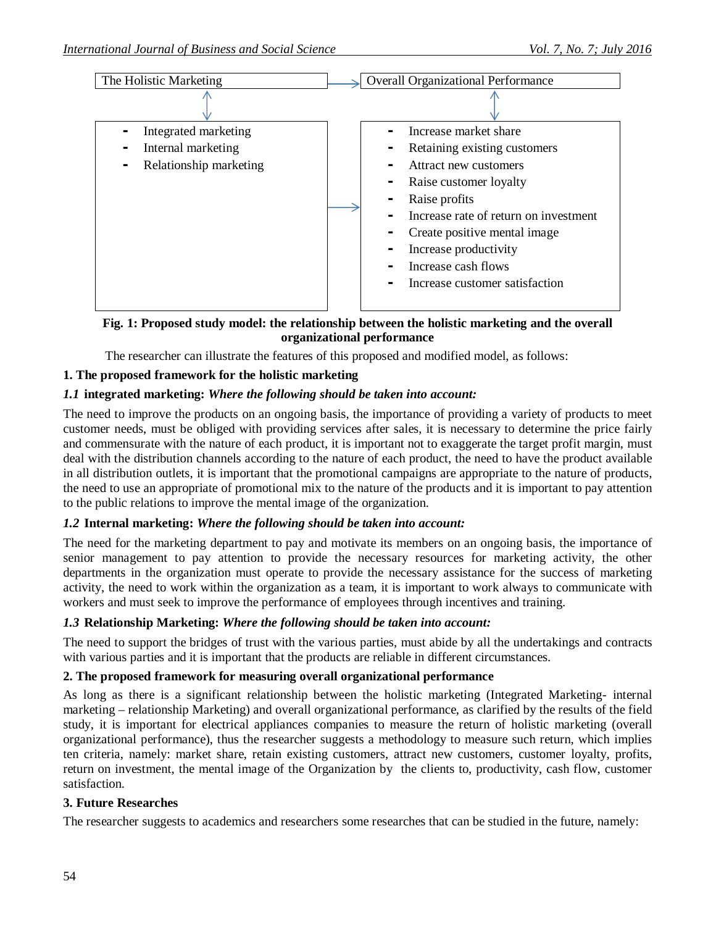

#### **Fig. 1: Proposed study model: the relationship between the holistic marketing and the overall organizational performance**

The researcher can illustrate the features of this proposed and modified model, as follows:

#### **1. The proposed framework for the holistic marketing**

#### *1.1* **integrated marketing:** *Where the following should be taken into account:*

The need to improve the products on an ongoing basis, the importance of providing a variety of products to meet customer needs, must be obliged with providing services after sales, it is necessary to determine the price fairly and commensurate with the nature of each product, it is important not to exaggerate the target profit margin, must deal with the distribution channels according to the nature of each product, the need to have the product available in all distribution outlets, it is important that the promotional campaigns are appropriate to the nature of products, the need to use an appropriate of promotional mix to the nature of the products and it is important to pay attention to the public relations to improve the mental image of the organization.

#### *1.2* **Internal marketing:** *Where the following should be taken into account:*

The need for the marketing department to pay and motivate its members on an ongoing basis, the importance of senior management to pay attention to provide the necessary resources for marketing activity, the other departments in the organization must operate to provide the necessary assistance for the success of marketing activity, the need to work within the organization as a team, it is important to work always to communicate with workers and must seek to improve the performance of employees through incentives and training.

#### *1.3* **Relationship Marketing:** *Where the following should be taken into account:*

The need to support the bridges of trust with the various parties, must abide by all the undertakings and contracts with various parties and it is important that the products are reliable in different circumstances.

#### **2. The proposed framework for measuring overall organizational performance**

As long as there is a significant relationship between the holistic marketing (Integrated Marketing- internal marketing – relationship Marketing) and overall organizational performance, as clarified by the results of the field study, it is important for electrical appliances companies to measure the return of holistic marketing (overall organizational performance), thus the researcher suggests a methodology to measure such return, which implies ten criteria, namely: market share, retain existing customers, attract new customers, customer loyalty, profits, return on investment, the mental image of the Organization by the clients to, productivity, cash flow, customer satisfaction.

#### **3. Future Researches**

The researcher suggests to academics and researchers some researches that can be studied in the future, namely: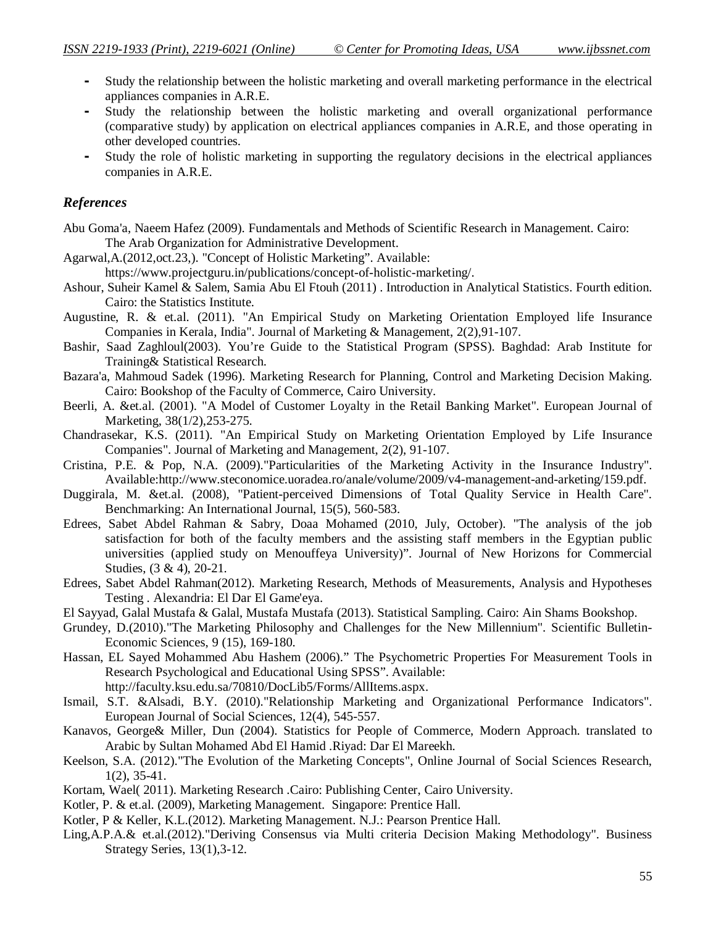- **-** Study the relationship between the holistic marketing and overall marketing performance in the electrical appliances companies in A.R.E.
- **-** Study the relationship between the holistic marketing and overall organizational performance (comparative study) by application on electrical appliances companies in A.R.E, and those operating in other developed countries.
- **-** Study the role of holistic marketing in supporting the regulatory decisions in the electrical appliances companies in A.R.E.

#### *References*

- Abu Goma'a, Naeem Hafez (2009). Fundamentals and Methods of Scientific Research in Management. Cairo: The Arab Organization for Administrative Development.
- Agarwal,A.(2012,oct.23,). "Concept of Holistic Marketing". Available:
	- https://www.projectguru.in/publications/concept-of-holistic-marketing/.
- Ashour, Suheir Kamel & Salem, Samia Abu El Ftouh (2011) . Introduction in Analytical Statistics. Fourth edition. Cairo: the Statistics Institute.
- Augustine, R. & et.al. (2011). "An Empirical Study on Marketing Orientation Employed life Insurance Companies in Kerala, India". Journal of Marketing & Management, 2(2),91-107.
- Bashir, Saad Zaghloul(2003). You're Guide to the Statistical Program (SPSS). Baghdad: Arab Institute for Training& Statistical Research.
- Bazara'a, Mahmoud Sadek (1996). Marketing Research for Planning, Control and Marketing Decision Making. Cairo: Bookshop of the Faculty of Commerce, Cairo University.
- Beerli, A. &et.al. (2001). "A Model of Customer Loyalty in the Retail Banking Market". European Journal of Marketing, 38(1/2),253-275.
- Chandrasekar, K.S. (2011). "An Empirical Study on Marketing Orientation Employed by Life Insurance Companies". Journal of Marketing and Management, 2(2), 91-107.
- Cristina, P.E. & Pop, N.A. (2009)."Particularities of the Marketing Activity in the Insurance Industry". Available:http://www.steconomice.uoradea.ro/anale/volume/2009/v4-management-and-arketing/159.pdf.
- Duggirala, M. &et.al. (2008), "Patient-perceived Dimensions of Total Quality Service in Health Care". Benchmarking: An International Journal, 15(5), 560-583.
- Edrees, Sabet Abdel Rahman & Sabry, Doaa Mohamed (2010, July, October). "The analysis of the job satisfaction for both of the faculty members and the assisting staff members in the Egyptian public universities (applied study on Menouffeya University)". Journal of New Horizons for Commercial Studies, (3 & 4), 20-21.
- Edrees, Sabet Abdel Rahman(2012). Marketing Research, Methods of Measurements, Analysis and Hypotheses Testing . Alexandria: El Dar El Game'eya.
- El Sayyad, Galal Mustafa & Galal, Mustafa Mustafa (2013). Statistical Sampling. Cairo: Ain Shams Bookshop.
- Grundey, D.(2010)."The Marketing Philosophy and Challenges for the New Millennium". Scientific Bulletin-Economic Sciences, 9 (15), 169-180.
- Hassan, EL Sayed Mohammed Abu Hashem (2006)." The Psychometric Properties For Measurement Tools in Research Psychological and Educational Using SPSS". Available: http://faculty.ksu.edu.sa/70810/DocLib5/Forms/AllItems.aspx.
- Ismail, S.T. &Alsadi, B.Y. (2010)."Relationship Marketing and Organizational Performance Indicators". European Journal of Social Sciences, 12(4), 545-557.
- Kanavos, George& Miller, Dun (2004). Statistics for People of Commerce, Modern Approach. translated to Arabic by Sultan Mohamed Abd El Hamid .Riyad: Dar El Mareekh.
- Keelson, S.A. (2012)."The Evolution of the Marketing Concepts", Online Journal of Social Sciences Research, 1(2), 35-41.
- Kortam, Wael( 2011). Marketing Research .Cairo: Publishing Center, Cairo University.
- Kotler, P. & et.al. (2009), Marketing Management. Singapore: Prentice Hall.
- Kotler, P & Keller, K.L.(2012). Marketing Management. N.J.: Pearson Prentice Hall.
- Ling,A.P.A.& et.al.(2012)."Deriving Consensus via Multi criteria Decision Making Methodology". Business Strategy Series, 13(1),3-12.